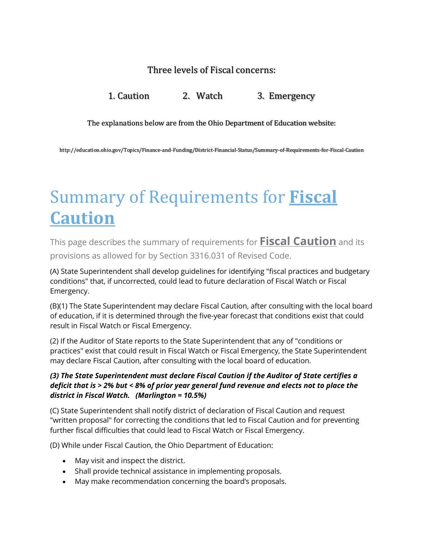#### Three levels of Fiscal concerns:

1. Caution 2. Watch 3. Emergency

The explanations below are from the Ohio Department of Education website:

http://education.ohio.gov/Topics/Finance-and-Funding/District-Financial-Status/Summary-of-Requirements-for-Fiscal-Caution

## **Summary of Requirements for Fiscal Caution**

This page describes the summary of requirements for **Fiscal Caution** and its provisions as allowed for by Section 3316.031 of Revised Code.

(A) State Superintendent shall develop guidelines for identifying "fiscal practices and budgetary conditions" that, if uncorrected, could lead to future declaration of Fiscal Watch or Fiscal Emergency.

(B)(1) The State Superintendent may declare Fiscal Caution, after consulting with the local board of education, if it is determined through the five-year forecast that conditions exist that could result in Fiscal Watch or Fiscal Emergency.

(2) If the Auditor of State reports to the State Superintendent that any of "conditions or practices" exist that could result in Fiscal Watch or Fiscal Emergency, the State Superintendent may declare Fiscal Caution, after consulting with the local board of education.

#### *(3) The State Superintendent must declare Fiscal Caution if the Auditor of State certifies a deficit that is > 2% but < 8% of prior year general fund revenue and elects not to place the district in Fiscal Watch. (Marlington = 10.5%)*

(C) State Superintendent shall notify district of declaration of Fiscal Caution and request "written proposal" for correcting the conditions that led to Fiscal Caution and for preventing further fiscal difficulties that could lead to Fiscal Watch or Fiscal Emergency.

(D) While under Fiscal Caution, the Ohio Department of Education:

- May visit and inspect the district.
- Shall provide technical assistance in implementing proposals.
- May make recommendation concerning the board's proposals.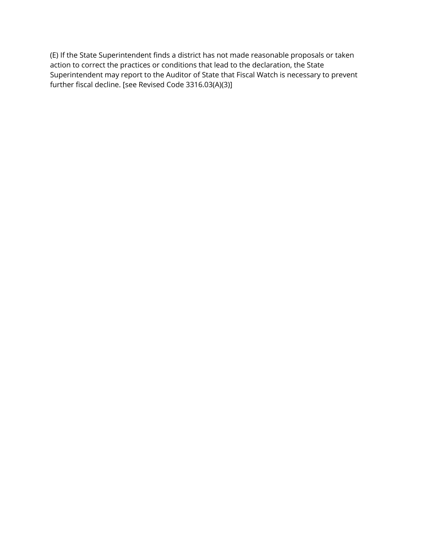(E) If the State Superintendent finds a district has not made reasonable proposals or taken action to correct the practices or conditions that lead to the declaration, the State Superintendent may report to the Auditor of State that Fiscal Watch is necessary to prevent further fiscal decline. [see Revised Code 3316.03(A)(3)]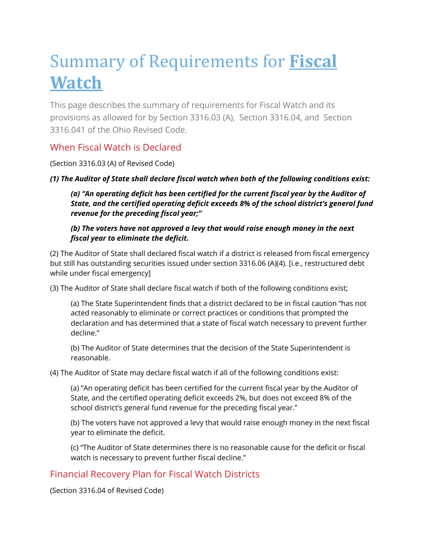# **Summary of Requirements for Fiscal Watch**

This page describes the summary of requirements for Fiscal Watch and its provisions as allowed for by Section 3316.03 (A), Section 3316.04, and Section 3316.041 of the Ohio Revised Code.

### When Fiscal Watch is Declared

(Section 3316.03 (A) of Revised Code)

*(1) The Auditor of State shall declare fiscal watch when both of the following conditions exist:*

*(a) "An operating deficit has been certified for the current fiscal year by the Auditor of State, and the certified operating deficit exceeds 8% of the school district's general fund revenue for the preceding fiscal year;"*

#### *(b) The voters have not approved a levy that would raise enough money in the next fiscal year to eliminate the deficit.*

(2) The Auditor of State shall declared fiscal watch if a district is released from fiscal emergency but still has outstanding securities issued under section 3316.06 (A)(4). [i.e., restructured debt while under fiscal emergency]

(3) The Auditor of State shall declare fiscal watch if both of the following conditions exist;

(a) The State Superintendent finds that a district declared to be in fiscal caution "has not acted reasonably to eliminate or correct practices or conditions that prompted the declaration and has determined that a state of fiscal watch necessary to prevent further decline."

(b) The Auditor of State determines that the decision of the State Superintendent is reasonable.

(4) The Auditor of State may declare fiscal watch if all of the following conditions exist:

(a) "An operating deficit has been certified for the current fiscal year by the Auditor of State, and the certified operating deficit exceeds 2%, but does not exceed 8% of the school district's general fund revenue for the preceding fiscal year."

(b) The voters have not approved a levy that would raise enough money in the next fiscal year to eliminate the deficit.

(c) "The Auditor of State determines there is no reasonable cause for the deficit or fiscal watch is necessary to prevent further fiscal decline."

### Financial Recovery Plan for Fiscal Watch Districts

(Section 3316.04 of Revised Code)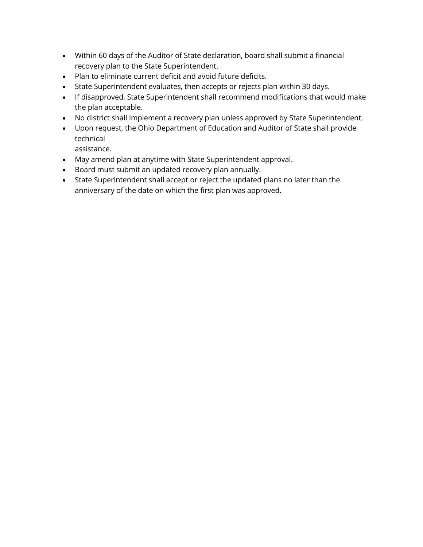- Within 60 days of the Auditor of State declaration, board shall submit a financial recovery plan to the State Superintendent.
- Plan to eliminate current deficit and avoid future deficits.
- State Superintendent evaluates, then accepts or rejects plan within 30 days.
- If disapproved, State Superintendent shall recommend modifications that would make the plan acceptable.
- No district shall implement a recovery plan unless approved by State Superintendent.
- Upon request, the Ohio Department of Education and Auditor of State shall provide technical

assistance.

- May amend plan at anytime with State Superintendent approval.
- Board must submit an updated recovery plan annually.
- State Superintendent shall accept or reject the updated plans no later than the anniversary of the date on which the first plan was approved.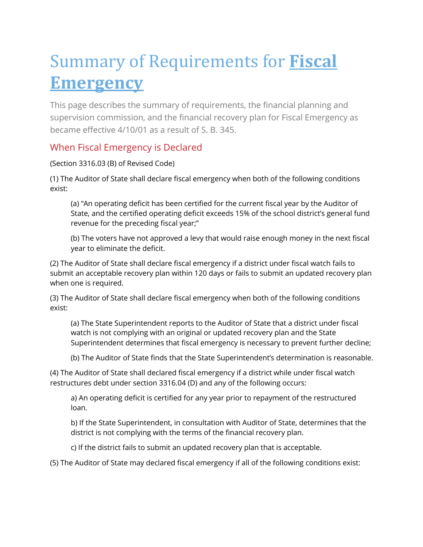# **Summary of Requirements for Fiscal Emergency**

This page describes the summary of requirements, the financial planning and supervision commission, and the financial recovery plan for Fiscal Emergency as became effective 4/10/01 as a result of S. B. 345.

### When Fiscal Emergency is Declared

(Section 3316.03 (B) of Revised Code)

(1) The Auditor of State shall declare fiscal emergency when both of the following conditions exist:

(a) "An operating deficit has been certified for the current fiscal year by the Auditor of State, and the certified operating deficit exceeds 15% of the school district's general fund revenue for the preceding fiscal year;"

(b) The voters have not approved a levy that would raise enough money in the next fiscal year to eliminate the deficit.

(2) The Auditor of State shall declare fiscal emergency if a district under fiscal watch fails to submit an acceptable recovery plan within 120 days or fails to submit an updated recovery plan when one is required.

(3) The Auditor of State shall declare fiscal emergency when both of the following conditions exist:

(a) The State Superintendent reports to the Auditor of State that a district under fiscal watch is not complying with an original or updated recovery plan and the State Superintendent determines that fiscal emergency is necessary to prevent further decline;

(b) The Auditor of State finds that the State Superintendent's determination is reasonable.

(4) The Auditor of State shall declared fiscal emergency if a district while under fiscal watch restructures debt under section 3316.04 (D) and any of the following occurs:

a) An operating deficit is certified for any year prior to repayment of the restructured loan.

b) If the State Superintendent, in consultation with Auditor of State, determines that the district is not complying with the terms of the financial recovery plan.

c) If the district fails to submit an updated recovery plan that is acceptable.

(5) The Auditor of State may declared fiscal emergency if all of the following conditions exist: